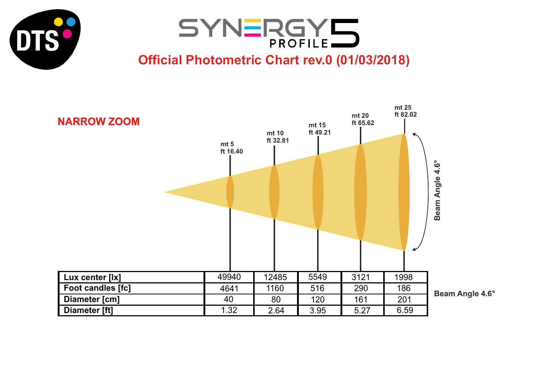



## **Official Photometric Chart rev.0 (01/03/2018)**



**Beam Angle 4.6°**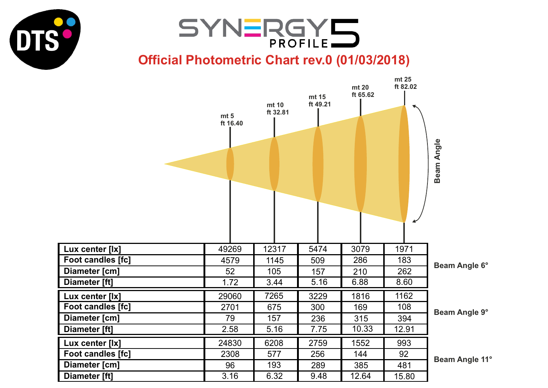



## **Official Photometric Chart rev.0 (01/03/2018)**